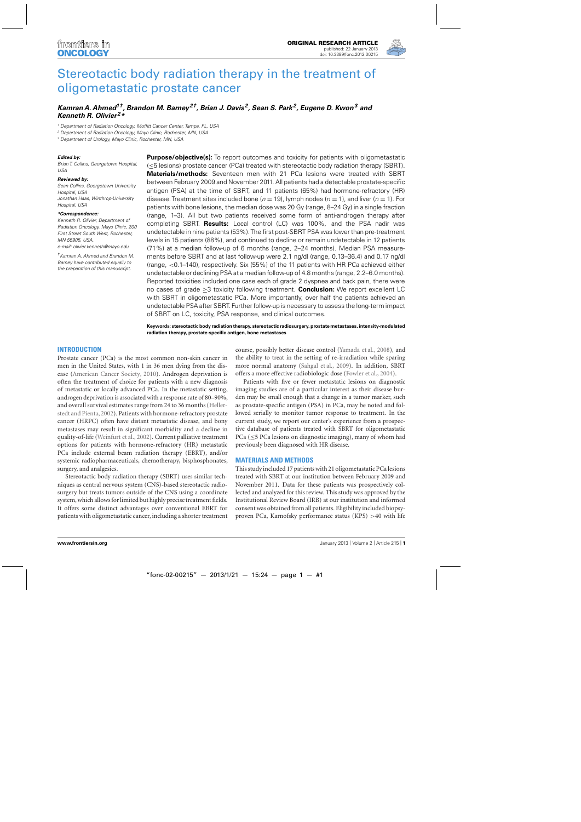

# [Stereotactic body radiation therapy in the treatment of](http://www.frontiersin.org/Radiation_Oncology/10.3389/fonc.2012.00215/abstract) oligometastatic prostate cancer

## *[Kamran A. Ahmed](http://www.frontiersin.org/Community/WhosWhoActivity.aspx?sname=KamranAhmed&UID=68093)1†, [Brandon M. Barney](http://www.frontiersin.org/Community/WhosWhoActivity.aspx?sname=BrandonBarney&UID=75500)2†, [Brian J. Davis](http://www.frontiersin.org/Community/WhosWhoActivity.aspx?sname=BrianDavis&UID=30015) 2, [Sean S. Park](http://www.frontiersin.org/Community/WhosWhoActivity.aspx?sname=SeanPark&UID=28885)2, [Eugene D. Kwon](http://community.frontiersin.org/people/EugeneKwon/76972)3 and [Kenneth R. Olivier](http://www.frontiersin.org/Community/WhosWhoActivity.aspx?sname=KennethOlivier&UID=28907) 2\**

<sup>1</sup> Department of Radiation Oncology, Moffitt Cancer Center, Tampa, FL, USA

<sup>2</sup> Department of Radiation Oncology, Mayo Clinic, Rochester, MN, USA

<sup>3</sup> Department of Urology, Mayo Clinic, Rochester, MN, USA

#### *Edited by:*

Brian T. Collins, Georgetown Hospital,  $1ISA$ 

#### *Reviewed by:*

Sean Collins, Georgetown University Hospital, USA Jonathan Haas, Winthrop-University Hospital, USA

#### *\*Correspondence:*

Kenneth R. Olivier, Department of Radiation Oncology, Mayo Clinic, 200 First Street South West, Rochester, MN 55905, USA.

e-mail: olivier.kenneth@mayo.edu

†Kamran A. Ahmed and Brandon M. Barney have contributed equally to the preparation of this manuscript.

**Purpose/objective(s):** To report outcomes and toxicity for patients with oligometastatic (≤5 lesions) prostate cancer (PCa) treated with stereotactic body radiation therapy (SBRT). **Materials/methods:** Seventeen men with 21 PCa lesions were treated with SBRT between February 2009 and November 2011. All patients had a detectable prostate-specific antigen (PSA) at the time of SBRT, and 11 patients (65%) had hormone-refractory (HR) disease. Treatment sites included bone ( $n = 19$ ), lymph nodes ( $n = 1$ ), and liver ( $n = 1$ ). For patients with bone lesions, the median dose was 20 Gy (range, 8–24 Gy) in a single fraction (range, 1–3). All but two patients received some form of anti-androgen therapy after completing SBRT. **Results:** Local control (LC) was 100%, and the PSA nadir was undetectable in nine patients (53%).The first post-SBRT PSA was lower than pre-treatment levels in 15 patients (88%), and continued to decline or remain undetectable in 12 patients (71%) at a median follow-up of 6 months (range, 2–24 months). Median PSA measurements before SBRT and at last follow-up were 2.1 ng/dl (range, 0.13–36.4) and 0.17 ng/dl (range, <0.1–140), respectively. Six (55%) of the 11 patients with HR PCa achieved either undetectable or declining PSA at a median follow-up of 4.8 months (range, 2.2–6.0 months). Reported toxicities included one case each of grade 2 dyspnea and back pain, there were no cases of grade ≥3 toxicity following treatment. **Conclusion:** We report excellent LC with SBRT in oligometastatic PCa. More importantly, over half the patients achieved an undetectable PSA after SBRT. Further follow-up is necessary to assess the long-term impact of SBRT on LC, toxicity, PSA response, and clinical outcomes.

**Keywords: stereotactic body radiation therapy, stereotactic radiosurgery, prostate metastases, intensity-modulated radiation therapy, prostate-specific antigen, bone metastases**

## **INTRODUCTION**

Prostate cancer (PCa) is the most common non-skin cancer in men in the United States, with 1 in 36 men dying from the disease [\(American Cancer Society](#page-4-0), [2010\)](#page-4-0). Androgen deprivation is often the treatment of choice for patients with a new diagnosis of metastatic or locally advanced PCa. In the metastatic setting, androgen deprivation is associated with a response rate of 80–90%, and overall surv[ival estimates range from 24 to 36 months \(](#page-5-0)Hellerstedt and Pienta[, 2002](#page-5-0)). Patients with hormone-refractory prostate cancer (HRPC) often have distant metastatic disease, and bony metastases may result in significant morbidity and a decline in quality-of-life [\(Weinfurt et al., 2002\)](#page-5-0). Current palliative treatment options for patients with hormone-refractory (HR) metastatic PCa include external beam radiation therapy (EBRT), and/or systemic radiopharmaceuticals, chemotherapy, bisphosphonates, surgery, and analgesics.

Stereotactic body radiation therapy (SBRT) uses similar techniques as central nervous system (CNS)-based stereotactic radiosurgery but treats tumors outside of the CNS using a coordinate system, which allows for limited but highly precise treatment fields. It offers some distinct advantages over conventional EBRT for patients with oligometastatic cancer, including a shorter treatment course, possibly better disease control [\(Yamada et al.](#page-5-0), [2008](#page-5-0)), and the ability to treat in the setting of re-irradiation while sparing more normal anatomy [\(Sahgal et al.](#page-5-0), [2009](#page-5-0)). In addition, SBRT offers a more effective radiobiologic dose [\(Fowler et al.](#page-5-0), [2004\)](#page-5-0).

Patients with five or fewer metastatic lesions on diagnostic imaging studies are of a particular interest as their disease burden may be small enough that a change in a tumor marker, such as prostate-specific antigen (PSA) in PCa, may be noted and followed serially to monitor tumor response to treatment. In the current study, we report our center's experience from a prospective database of patients treated with SBRT for oligometastatic PCa ( $\leq$ 5 PCa lesions on diagnostic imaging), many of whom had previously been diagnosed with HR disease.

### **MATERIALS AND METHODS**

This study included 17 patients with 21 oligometastatic PCa lesions treated with SBRT at our institution between February 2009 and November 2011. Data for these patients was prospectively collected and analyzed for this review. This study was approved by the Institutional Review Board (IRB) at our institution and informed consent was obtained from all patients. Eligibility included biopsyproven PCa, Karnofsky performance status (KPS) >40 with life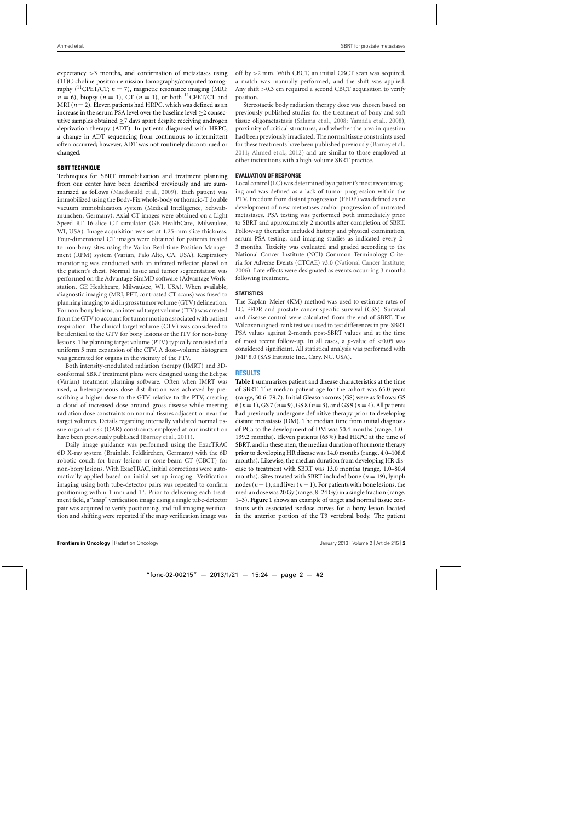expectancy >3 months, and confirmation of metastases using (11)C-choline positron emission tomography/computed tomography (<sup>11</sup>CPET/CT;  $n = 7$ ), magnetic resonance imaging (MRI;  $n = 6$ , biopsy  $(n = 1)$ , CT  $(n = 1)$ , or both <sup>11</sup>CPET/CT and MRI ( $n = 2$ ). Eleven patients had HRPC, which was defined as an increase in the serum PSA level over the baseline level ≥2 consecutive samples obtained  $\geq$ 7 days apart despite receiving androgen deprivation therapy (ADT). In patients diagnosed with HRPC, a change in ADT sequencing from continuous to intermittent often occurred; however, ADT was not routinely discontinued or changed.

## **SBRT TECHNIQUE**

Techniques for SBRT immobilization and treatment planning from our center have been described previously and are summarized as follows [\(Macdonald et al.](#page-5-0), [2009\)](#page-5-0). Each patient was immobilized using the Body-Fix whole-body or thoracic-T double vacuum immobilization system (Medical Intelligence, Schwabmünchen, Germany). Axial CT images were obtained on a Light Speed RT 16-slice CT simulator (GE HealthCare, Milwaukee, WI, USA). Image acquisition was set at 1.25-mm slice thickness. Four-dimensional CT images were obtained for patients treated to non-bony sites using the Varian Real-time Position Management (RPM) system (Varian, Palo Alto, CA, USA). Respiratory monitoring was conducted with an infrared reflector placed on the patient's chest. Normal tissue and tumor segmentation was performed on the Advantage SimMD software (Advantage Workstation, GE Healthcare, Milwaukee, WI, USA). When available, diagnostic imaging (MRI, PET, contrasted CT scans) was fused to planning imaging to aid in gross tumor volume (GTV) delineation. For non-bony lesions, an internal target volume (ITV) was created from the GTV to account for tumor motion associated with patient respiration. The clinical target volume (CTV) was considered to be identical to the GTV for bony lesions or the ITV for non-bony lesions. The planning target volume (PTV) typically consisted of a uniform 5 mm expansion of the CTV. A dose–volume histogram was generated for organs in the vicinity of the PTV.

Both intensity-modulated radiation therapy (IMRT) and 3Dconformal SBRT treatment plans were designed using the Eclipse (Varian) treatment planning software. Often when IMRT was used, a heterogeneous dose distribution was achieved by prescribing a higher dose to the GTV relative to the PTV, creating a cloud of increased dose around gross disease while meeting radiation dose constraints on normal tissues adjacent or near the target volumes. Details regarding internally validated normal tissue organ-at-risk (OAR) constraints employed at our institution have been previously published [\(Barney et al., 2011\)](#page-5-0).

Daily image guidance was performed using the ExacTRAC 6D X-ray system (Brainlab, Feldkirchen, Germany) with the 6D robotic couch for bony lesions or cone-beam CT (CBCT) for non-bony lesions. With ExacTRAC, initial corrections were automatically applied based on initial set-up imaging. Verification imaging using both tube-detector pairs was repeated to confirm positioning within 1 mm and 1◦. Prior to delivering each treatment field, a "snap" verification image using a single tube-detector pair was acquired to verify positioning, and full imaging verification and shifting were repeated if the snap verification image was off by >2 mm. With CBCT, an initial CBCT scan was acquired, a match was manually performed, and the shift was applied. Any shift >0.3 cm required a second CBCT acquisition to verify position.

Stereotactic body radiation therapy dose was chosen based on previously published studies for the treatment of bony and soft tissue oligometastasis [\(Salama et al., 2008](#page-5-0); [Yamada et al., 2008\)](#page-5-0), proximity of critical structures, and whether the area in question had been previously irradiated. The normal tissue constraints used for these treatments have been published previously [\(Barney et al.](#page-5-0), [2011;](#page-5-0) [Ahmed et al., 2012](#page-4-0)) and are similar to those employed at other institutions with a high-volume SBRT practice.

## **EVALUATION OF RESPONSE**

Local control (LC) was determined by a patient's most recent imaging and was defined as a lack of tumor progression within the PTV. Freedom from distant progression (FFDP) was defined as no development of new metastases and/or progression of untreated metastases. PSA testing was performed both immediately prior to SBRT and approximately 2 months after completion of SBRT. Follow-up thereafter included history and physical examination, serum PSA testing, and imaging studies as indicated every 2– 3 months. Toxicity was evaluated and graded according to the National Cancer Institute (NCI) Common Terminology Criteria for Adverse Events (CTCAE) v3.0 [\(National Cancer Institute](#page-5-0), [2006\)](#page-5-0). Late effects were designated as events occurring 3 months following treatment.

## **STATISTICS**

The Kaplan–Meier (KM) method was used to estimate rates of LC, FFDP, and prostate cancer-specific survival (CSS). Survival and disease control were calculated from the end of SBRT. The Wilcoxon signed-rank test was used to test differences in pre-SBRT PSA values against 2-month post-SBRT values and at the time of most recent follow-up. In all cases, a *p*-value of <0.05 was considered significant. All statistical analysis was performed with JMP 8.0 (SAS Institute Inc., Cary, NC, USA).

## **RESULTS**

**[Table 1](#page-2-0)** summarizes patient and disease characteristics at the time of SBRT. The median patient age for the cohort was 65.0 years (range, 50.6–79.7). Initial Gleason scores (GS) were as follows: GS 6 ( $n = 1$ ), GS 7 ( $n = 9$ ), GS 8 ( $n = 3$ ), and GS 9 ( $n = 4$ ). All patients had previously undergone definitive therapy prior to developing distant metastasis (DM). The median time from initial diagnosis of PCa to the development of DM was 50.4 months (range, 1.0– 139.2 months). Eleven patients (65%) had HRPC at the time of SBRT, and in these men, the median duration of hormone therapy prior to developing HR disease was 14.0 months (range, 4.0–108.0 months). Likewise, the median duration from developing HR disease to treatment with SBRT was 13.0 months (range, 1.0–80.4 months). Sites treated with SBRT included bone ( $n = 19$ ), lymph nodes ( $n = 1$ ), and liver ( $n = 1$ ). For patients with bone lesions, the median dose was 20 Gy (range, 8–24 Gy) in a single fraction (range, 1–3). **[Figure 1](#page-2-0)** shows an example of target and normal tissue contours with associated isodose curves for a bony lesion located in the anterior portion of the T3 vertebral body. The patient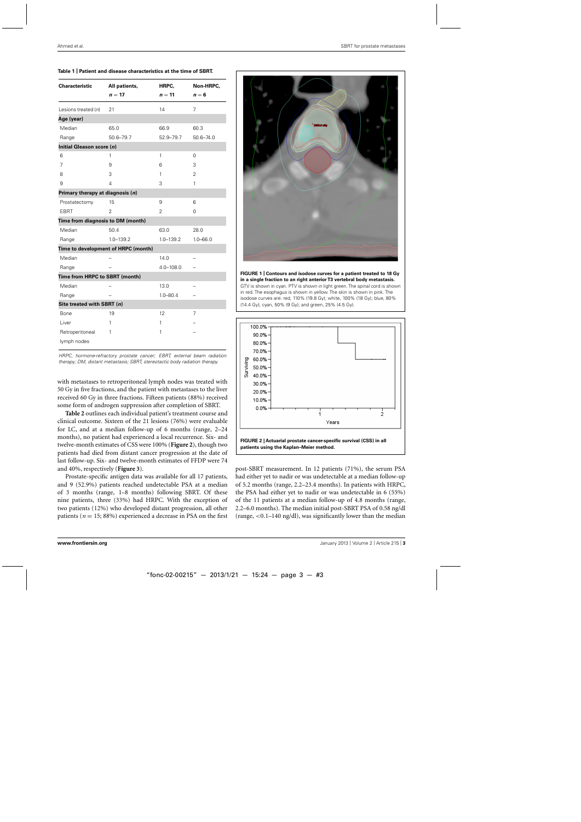#### <span id="page-2-0"></span>**Table 1 | Patient and disease characteristics at the time of SBRT.**

| <b>Characteristic</b>             | All patients,                       | HRPC,          | Non-HRPC,     |  |
|-----------------------------------|-------------------------------------|----------------|---------------|--|
|                                   | $n = 17$                            | $n = 11$       | $n=6$         |  |
| Lesions treated (n)               | 21                                  | 14             | 7             |  |
| Age (year)                        |                                     |                |               |  |
| Median                            | 65.0                                | 66.9           | 60.3          |  |
| Range                             | 50.6-79.7                           | 52.9-79.7      | $50.6 - 74.0$ |  |
| Initial Gleason score (n)         |                                     |                |               |  |
| 6                                 | 1                                   | 1              | $\Omega$      |  |
| 7                                 | 9                                   | 6              | 3             |  |
| 8                                 | 3                                   | 1              | 2             |  |
| 9                                 | 4                                   | 3              | 1             |  |
| Primary therapy at diagnosis (n)  |                                     |                |               |  |
| Prostatectomy                     | 15                                  | 9              | 6             |  |
| <b>EBRT</b>                       | $\overline{2}$                      | $\overline{2}$ | 0             |  |
| Time from diagnosis to DM (month) |                                     |                |               |  |
| Median                            | 50.4                                | 63.0           | 28.0          |  |
| Range                             | $1.0 - 139.2$                       | $1.0 - 139.2$  | $1.0 - 66.0$  |  |
|                                   | Time to development of HRPC (month) |                |               |  |
| Median                            |                                     | 14.0           |               |  |
| Range                             |                                     | 4.0-108.0      |               |  |
| Time from HRPC to SBRT (month)    |                                     |                |               |  |
| Median                            |                                     | 13.0           |               |  |
| Range                             |                                     | $1.0 - 80.4$   |               |  |
| Site treated with SBRT (n)        |                                     |                |               |  |
| Bone                              | 19                                  | 12             | 7             |  |
| Liver                             | 1                                   | 1              |               |  |
| Retroperitoneal                   | 1                                   | 1              |               |  |
| lymph nodes                       |                                     |                |               |  |

HRPC, hormone-refractory prostate cancer; EBRT, external beam radiation therapy; DM, distant metastasis; SBRT, stereotactic body radiation therapy.

with metastases to retroperitoneal lymph nodes was treated with 50 Gy in five fractions, and the patient with metastases to the liver received 60 Gy in three fractions. Fifteen patients (88%) received some form of androgen suppression after completion of SBRT.

**[Table 2](#page-3-0)** outlines each individual patient's treatment course and clinical outcome. Sixteen of the 21 lesions (76%) were evaluable for LC, and at a median follow-up of 6 months (range, 2–24 months), no patient had experienced a local recurrence. Six- and twelve-month estimates of CSS were 100% (**Figure 2**), though two patients had died from distant cancer progression at the date of last follow-up. Six- and twelve-month estimates of FFDP were 74 and 40%, respectively (**[Figure 3](#page-3-0)**).

Prostate-specific antigen data was available for all 17 patients, and 9 (52.9%) patients reached undetectable PSA at a median of 3 months (range, 1–8 months) following SBRT. Of these nine patients, three (33%) had HRPC. With the exception of two patients (12%) who developed distant progression, all other patients ( $n = 15$ ; 88%) experienced a decrease in PSA on the first



**FIGURE 1 | Contours and isodose curves for a patient treated to 18 Gy in a single fraction to an right anterior T3 vertebral body metastasis.** GTV is shown in cyan. PTV is shown in light green. The spinal cord is shown in red. The esophagus is shown in yellow. The skin is shown in pink. The isodose curves are: red, 110% (19.8 Gy); white, 100% (18 Gy); blue, 80% (14.4 Gy); cyan, 50% (9 Gy); and green, 25% (4.5 Gy).



**FIGURE 2 | Actuarial prostate cancer-specific survival (CSS) in all patients using the Kaplan–Meier method.**

post-SBRT measurement. In 12 patients (71%), the serum PSA had either yet to nadir or was undetectable at a median follow-up of 5.2 months (range, 2.2–23.4 months). In patients with HRPC, the PSA had either yet to nadir or was undetectable in 6 (55%) of the 11 patients at a median follow-up of 4.8 months (range, 2.2–6.0 months). The median initial post-SBRT PSA of 0.58 ng/dl (range, <0.1–140 ng/dl), was significantly lower than the median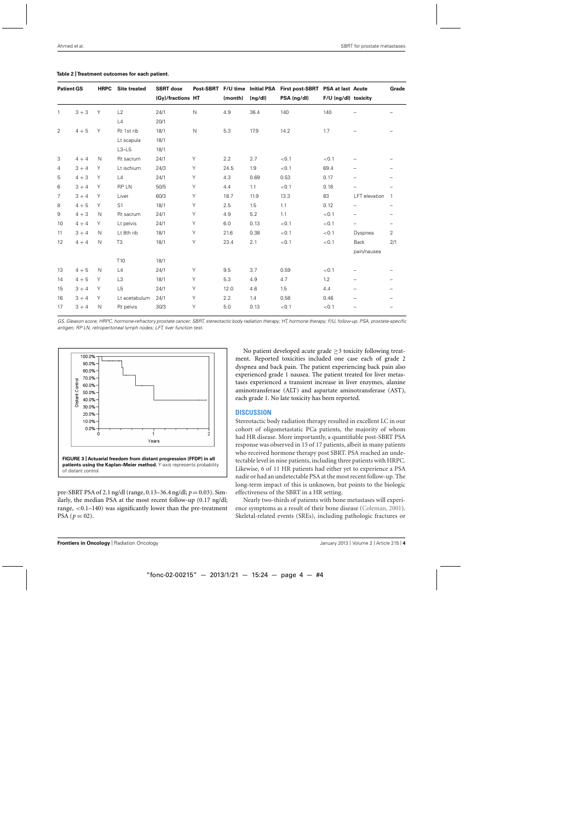| <b>Patient GS</b> |         | <b>HRPC</b>  | <b>Site treated</b> | <b>SBRT</b> dose<br>(Gy)/fractions HT | Post-SBRT    | (month) | F/U time Initial PSA<br>(ng/dl) | First post-SBRT PSA at last Acute<br>PSA (ng/dl) | F/U (ng/dl) toxicity |                          | Grade                    |
|-------------------|---------|--------------|---------------------|---------------------------------------|--------------|---------|---------------------------------|--------------------------------------------------|----------------------|--------------------------|--------------------------|
| $\mathbf{1}$      | $3 + 3$ | Υ            | L2                  | 24/1                                  | $\mathsf{N}$ | 4.9     | 36.4                            | 140                                              | 140                  |                          |                          |
|                   |         |              | L4                  | 20/1                                  |              |         |                                 |                                                  |                      |                          |                          |
| 2                 | $4 + 5$ | Y            | Rt 1st rib          | 18/1                                  | $\mathsf{N}$ | 5.3     | 17.9                            | 14.2                                             | 1.7                  |                          |                          |
|                   |         |              | Lt scapula          | 18/1                                  |              |         |                                 |                                                  |                      |                          |                          |
|                   |         |              | $L3-L5$             | 18/1                                  |              |         |                                 |                                                  |                      |                          |                          |
| 3                 | $4 + 4$ | $\mathsf{N}$ | Rt sacrum           | 24/1                                  | Y            | 2.2     | 2.7                             | < 0.1                                            | < 0.1                |                          |                          |
| 4                 | $3 + 4$ | Υ            | Lt ischium          | 24/3                                  | Y            | 24.5    | 1.9                             | < 0.1                                            | 69.4                 |                          |                          |
| 5                 | $4 + 3$ | Υ            | L4                  | 24/1                                  | Y            | 4.3     | 0.69                            | 0.53                                             | 0.17                 | $\overline{\phantom{0}}$ |                          |
| 6                 | $3 + 4$ | Y            | <b>RPLN</b>         | 50/5                                  | Y            | 4.4     | 1.1                             | < 0.1                                            | 0.18                 |                          |                          |
| 7                 | $3 + 4$ | Υ            | Liver               | 60/3                                  | Y            | 18.7    | 11.9                            | 13.3                                             | 83                   | LFT elevation            | $\mathbf{1}$             |
| 8                 | $4 + 5$ | Y            | S <sub>1</sub>      | 18/1                                  | Υ            | 2.5     | 1.5                             | 1.1                                              | 0.12                 |                          | -                        |
| 9                 | $4 + 3$ | $\mathsf{N}$ | Rt sacrum           | 24/1                                  | Y            | 4.9     | 5.2                             | 1.1                                              | < 0.1                |                          | -                        |
| 10                | $4 + 4$ | Y            | Lt pelvis           | 24/1                                  | Y            | 6.0     | 0.13                            | < 0.1                                            | < 0.1                |                          | -                        |
| 11                | $3 + 4$ | N            | Lt 8th rib          | 18/1                                  | Y            | 21.6    | 0.38                            | < 0.1                                            | < 0.1                | Dyspnea                  | $\overline{2}$           |
| 12                | $4 + 4$ | N            | T <sub>3</sub>      | 18/1                                  | Υ            | 23.4    | 2.1                             | < 0.1                                            | < 0.1                | <b>Back</b>              | 2/1                      |
|                   |         |              |                     |                                       |              |         |                                 |                                                  |                      | pain/nausea              |                          |
|                   |         |              | T10                 | 18/1                                  |              |         |                                 |                                                  |                      |                          |                          |
| 13                | $4 + 5$ | $\mathsf{N}$ | L4                  | 24/1                                  | Y            | 9.5     | 3.7                             | 0.59                                             | < 0.1                | $\qquad \qquad -$        |                          |
| 14                | $4 + 5$ | Υ            | L <sub>3</sub>      | 18/1                                  | Y            | 5.3     | 4.9                             | 4.7                                              | 1.2                  |                          |                          |
| 15                | $3 + 4$ | Υ            | L <sub>5</sub>      | 24/1                                  | Y            | 12.0    | 4.6                             | 1.5                                              | 4.4                  | $\overline{\phantom{0}}$ |                          |
| 16                | $3 + 4$ | Y            | Lt acetabulum       | 24/1                                  | Υ            | 2.2     | 1.4                             | 0.58                                             | 0.46                 |                          |                          |
| 17                | $3 + 4$ | $\mathsf{N}$ | Rt pelvis           | 30/3                                  | Y            | 5.0     | 0.13                            | < 0.1                                            | < 0.1                | $\overline{\phantom{0}}$ | $\overline{\phantom{0}}$ |

#### <span id="page-3-0"></span>**Table 2 |Treatment outcomes for each patient.**

GS, Gleason score; HRPC, hormone-refractory prostate cancer; SBRT, stereotactic body radiation therapy; HT, hormone therapy; F/U, follow-up; PSA, prostate-specific antigen; RP LN, retroperitoneal lymph nodes; LFT, liver function test.



pre-SBRT PSA of 2.1 ng/dl (range, 0.13–36.4 ng/dl; *p* = 0.03). Similarly, the median PSA at the most recent follow-up (0.17 ng/dl; range, <0.1–140) was significantly lower than the pre-treatment  $PSA (p = 02).$ 

No patient developed acute grade  $\geq$ 3 toxicity following treatment. Reported toxicities included one case each of grade 2 dyspnea and back pain. The patient experiencing back pain also experienced grade 1 nausea. The patient treated for liver metastases experienced a transient increase in liver enzymes, alanine aminotransferase (ALT) and aspartate aminotransferase (AST), each grade 1. No late toxicity has been reported.

#### **DISCUSSION**

Stereotactic body radiation therapy resulted in excellent LC in our cohort of oligometastatic PCa patients, the majority of whom had HR disease. More importantly, a quantifiable post-SBRT PSA response was observed in 15 of 17 patients, albeit in many patients who received hormone therapy post SBRT. PSA reached an undetectable level in nine patients, including three patients with HRPC. Likewise, 6 of 11 HR patients had either yet to experience a PSA nadir or had an undetectable PSA at the most recent follow-up. The long-term impact of this is unknown, but points to the biologic effectiveness of the SBRT in a HR setting.

Nearly two-thirds of patients with bone metastases will experience symptoms as a result of their bone disease [\(Coleman, 2001](#page-5-0)). Skeletal-related events (SREs), including pathologic fractures or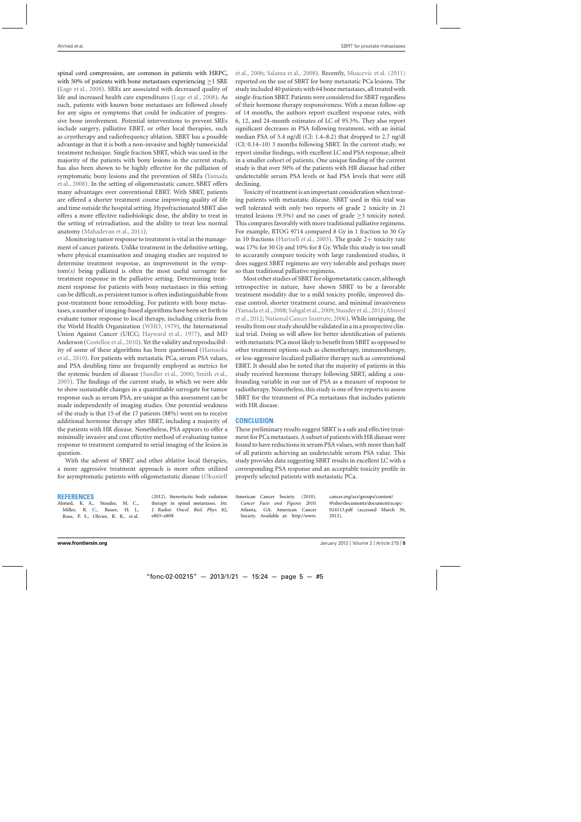<span id="page-4-0"></span>spinal cord compression, are common in patients with HRPC, with 50% of patients with bone metastases experiencing  $\geq$  1 SRE [\(Lage et al., 2008\)](#page-5-0). SREs are associated with decreased quality of life and increased health care expenditures [\(Lage et al.](#page-5-0), [2008](#page-5-0)). As such, patients with known bone metastases are followed closely for any signs or symptoms that could be indicative of progressive bone involvement. Potential interventions to prevent SREs include surgery, palliative EBRT, or other local therapies, such as cryotherapy and radiofrequency ablation. SBRT has a possible advantage in that it is both a non-invasive and highly tumoricidal treatment technique. Single fraction SBRT, which was used in the majority of the patients with bony lesions in the current study, has also been shown to be highly effective for the palliation of sym[ptomatic](#page-5-0) [bony](#page-5-0) [lesions](#page-5-0) [and](#page-5-0) [the](#page-5-0) [prevention](#page-5-0) [of](#page-5-0) [SREs](#page-5-0) [\(](#page-5-0)Yamada et al., [2008\)](#page-5-0). In the setting of oligometastatic cancer, SBRT offers many advantages over conventional EBRT. With SBRT, patients are offered a shorter treatment course improving quality of life and time outside the hospital setting. Hypofractionated SBRT also offers a more effective radiobiologic dose, the ability to treat in the setting of reirradiation, and the ability to treat less normal anatomy [\(Mahadevan et al., 2011](#page-5-0)).

Monitoring tumor response to treatment is vital in the management of cancer patients. Unlike treatment in the definitive setting, where physical examination and imaging studies are required to determine treatment response, an improvement in the symptom(s) being palliated is often the most useful surrogate for treatment response in the palliative setting. Determining treatment response for patients with bony metastases in this setting can be difficult, as persistent tumor is often indistinguishable from post-treatment bone remodeling. For patients with bony metastases, a number of imaging-based algorithms have been set forth to evaluate tumor response to local therapy, including criteria from the World Health Organization [\(WHO](#page-5-0), [1979](#page-5-0)), the International Union Against Cancer (UICC; [Hayward et al.](#page-5-0), [1977](#page-5-0)), and MD Anderson [\(Costelloe et al., 2010\)](#page-5-0). Yet the validity and reproducibility [of](#page-5-0) [some](#page-5-0) [of](#page-5-0) [these](#page-5-0) [algorithms](#page-5-0) [has](#page-5-0) [been](#page-5-0) [questioned](#page-5-0) [\(](#page-5-0)Hamaoka et al., [2010](#page-5-0)). For patients with metastatic PCa, serum PSA values, and PSA doubling time are frequently employed as metrics for the systemic burden of disease [\(Sandler et al.](#page-5-0), [2000;](#page-5-0) [Smith et al.](#page-5-0), [2005\)](#page-5-0). The findings of the current study, in which we were able to show sustainable changes in a quantifiable surrogate for tumor response such as serum PSA, are unique as this assessment can be made independently of imaging studies. One potential weakness of the study is that 15 of the 17 patients (88%) went on to receive additional hormone therapy after SBRT, including a majority of the patients with HR disease. Nonetheless, PSA appears to offer a minimally invasive and cost effective method of evaluating tumor response to treatment compared to serial imaging of the lesion in question.

With the advent of SBRT and other ablative local therapies, a more aggressive treatment approach is more often utilized for asymptomatic patients with oligometastatic disease (Okunieff

#### **REFERENCES**

Ahmed, K. A., Stauder, M. C., Miller, R. C., Bauer, H. J., Rose, P. S., Olivier, K. R., et al. (2012). Stereotactic body radiation therapy in spinal metastases. *Int. J. Radiat. Oncol. Biol. Phys.* 82, e803–e809.

et al., [2006;](#page-5-0) [Salama et al., 2008\)](#page-5-0). Recently, [Muacevic et al.](#page-5-0) [\(2011\)](#page-5-0) reported on the use of SBRT for bony metastatic PCa lesions. The study included 40 patients with 64 bone metastases, all treated with single-fraction SBRT. Patients were considered for SBRT regardless of their hormone therapy responsiveness. With a mean follow-up of 14 months, the authors report excellent response rates, with 6, 12, and 24-month estimates of LC of 95.5%. They also report significant decreases in PSA following treatment, with an initial median PSA of 5.4 ng/dl (CI: 1.4–8.2) that dropped to 2.7 ng/dl (CI: 0.14–10) 3 months following SBRT. In the current study, we report similar findings, with excellent LC and PSA response, albeit in a smaller cohort of patients. One unique finding of the current study is that over 50% of the patients with HR disease had either undetectable serum PSA levels or had PSA levels that were still declining.

Toxicity of treatment is an important consideration when treating patients with metastatic disease. SBRT used in this trial was well tolerated with only two reports of grade 2 toxicity in 21 treated lesions (9.5%) and no cases of grade  $\geq$ 3 toxicity noted. This compares favorably with more traditional palliative regimens. For example, RTOG 9714 compared 8 Gy in 1 fraction to 30 Gy in 10 fractions [\(Hartsell et al., 2005\)](#page-5-0). The grade 2+ toxicity rate was 17% for 30 Gy and 10% for 8 Gy. While this study is too small to accurately compare toxicity with large randomized studies, it does suggest SBRT regimens are very tolerable and perhaps more so than traditional palliative regimens.

Most other studies of SBRT for oligometastatic cancer, although retrospective in nature, have shown SBRT to be a favorable treatment modality due to a mild toxicity profile, improved disease control, shorter treatment course, and minimal invasiveness [\(Yamada et al.,2008;](#page-5-0) [Sahgal et al.,2009](#page-5-0); [Stauder et al., 2011](#page-5-0);Ahmed et al., 2012; [National Cancer Institute, 2006\)](#page-5-0). While intriguing, the resultsfrom our study should be validated in a in a prospective clinical trial. Doing so will allow for better identification of patients with metastatic PCa most likely to benefit from SBRT as opposed to other treatment options such as chemotherapy, immunotherapy, or less-aggressive localized palliative therapy such as conventional EBRT. It should also be noted that the majority of patients in this study received hormone therapy following SBRT, adding a confounding variable in our use of PSA as a measure of response to radiotherapy. Nonetheless, this study is one of few reports to assess SBRT for the treatment of PCa metastases that includes patients with HR disease.

## **CONCLUSION**

These preliminary results suggest SBRT is a safe and effective treatment for PCa metastases. A subset of patients with HR disease were found to have reductions in serum PSA values, with more than half of all patients achieving an undetectable serum PSA value. This study provides data suggesting SBRT results in excellent LC with a corresponding PSA response and an acceptable toxicity profile in properly selected patients with metastatic PCa.

American Cancer Society. (2010). *Cancer Facts and Figures 2010*. Atlanta, GA: American Cancer Society. Available at: http://www. cancer.org/acs/groups/content/ @nho/documents/document/acspc-024113.pdf (accessed March 30, 2012).